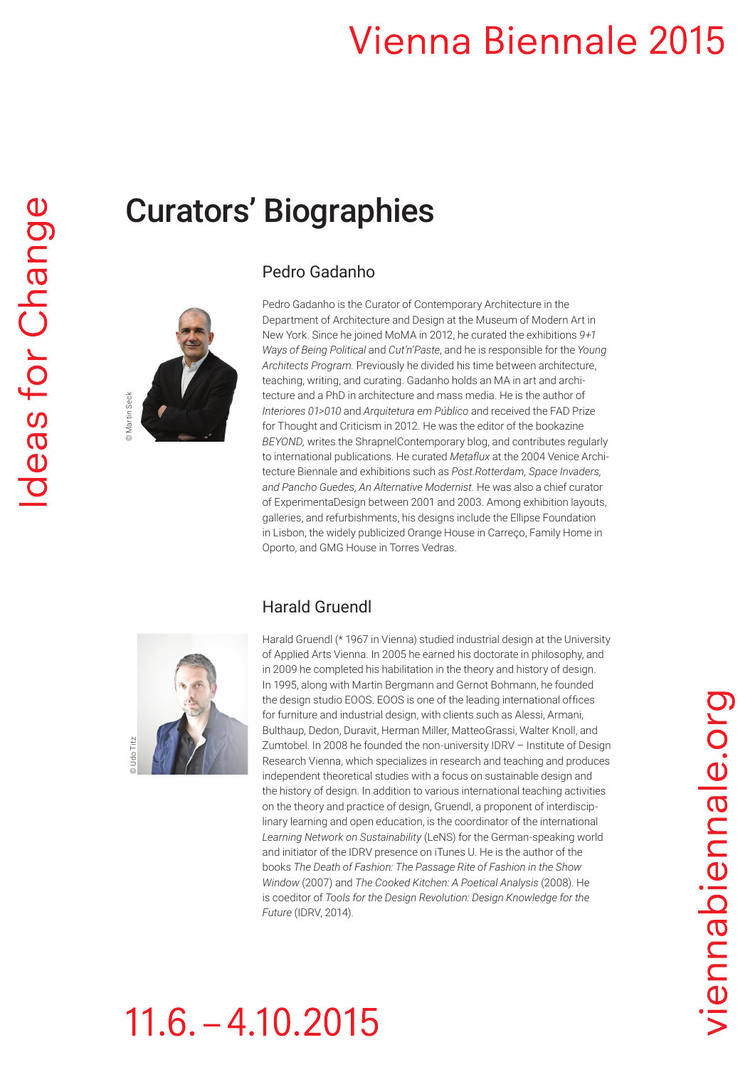## **Vienna Biennale 2015**

### Curators' Biographies

#### Pedro Gadanho

Pedro Gadanho is the Curator of Contemporary Architecture in the Department of Architecture and Design at the Museum of Modern Art in New York. Since he joined MoMA in 2012, he curated the exhibitions *9+1 Ways of Being Political* and *Cut'n'Paste*, and he is responsible for the *Young Architects Program.* Previously he divided his time between architecture, teaching, writing, and curating. Gadanho holds an MA in art and architecture and a PhD in architecture and mass media. He is the author of *Interiores 01>010* and *Arquitetura em Público* and received the FAD Prize for Thought and Criticism in 2012. He was the editor of the bookazine *BEYOND,* writes the ShrapnelContemporary blog, and contributes regularly to international publications. He curated *Metaflux* at the 2004 Venice Architecture Biennale and exhibitions such as *Post.Rotterdam, Space Invaders, and Pancho Guedes, An Alternative Modernist.* He was also a chief curator of ExperimentaDesign between 2001 and 2003. Among exhibition layouts, galleries, and refurbishments, his designs include the Ellipse Foundation in Lisbon, the widely publicized Orange House in Carreço, Family Home in Oporto, and GMG House in Torres Vedras.

#### Harald Gruendl



Harald Gruendl (\* 1967 in Vienna) studied industrial design at the University of Applied Arts Vienna. In 2005 he earned his doctorate in philosophy, and in 2009 he completed his habilitation in the theory and history of design. In 1995, along with Martin Bergmann and Gernot Bohmann, he founded the design studio EOOS. EOOS is one of the leading international offices for furniture and industrial design, with clients such as Alessi, Armani, Bulthaup, Dedon, Duravit, Herman Miller, MatteoGrassi, Walter Knoll, and Zumtobel. In 2008 he founded the non-university IDRV – Institute of Design Research Vienna, which specializes in research and teaching and produces independent theoretical studies with a focus on sustainable design and the history of design. In addition to various international teaching activities on the theory and practice of design, Gruendl, a proponent of interdisciplinary learning and open education, is the coordinator of the international *Learning Network on Sustainability* (LeNS) for the German-speaking world and initiator of the IDRV presence on iTunes U. He is the author of the books *The Death of Fashion: The Passage Rite of Fashion in the Show Window* (2007) and *The Cooked Kitchen: A Poetical Analysis* (2008). He is coeditor of *Tools for the Design Revolution: Design Knowledge for the Future* (IDRV, 2014).

# $11.6. - 4.10.2015$